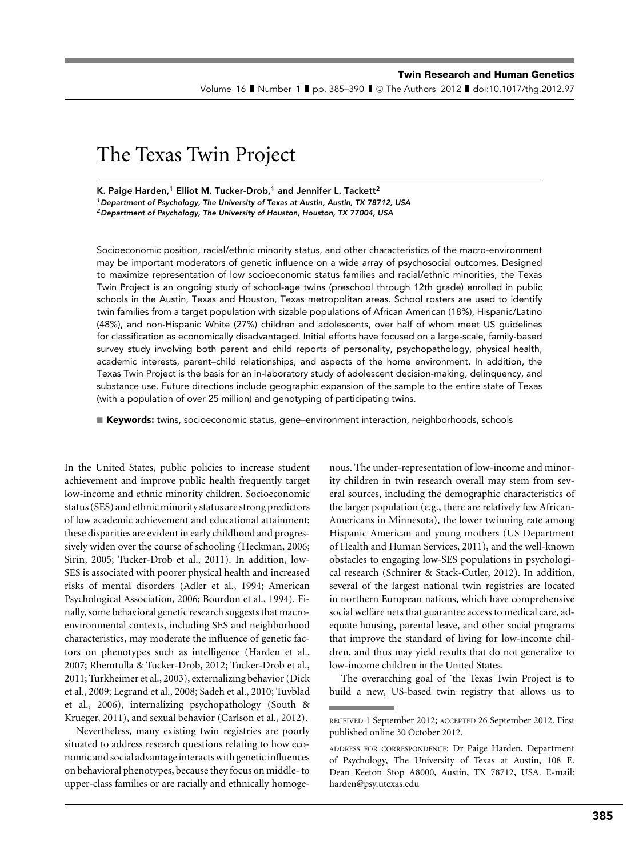Volume 16 II Number 1 II pp. 385–390 II © The Authors 2012 II doi:10.1017/thg.2012.97

# The Texas Twin Project

K. Paige Harden,<sup>1</sup> Elliot M. Tucker-Drob,<sup>1</sup> and Jennifer L. Tackett<sup>2</sup>

<sup>1</sup>Department of Psychology, The University of Texas at Austin, Austin, TX 78712, USA

<sup>2</sup>Department of Psychology, The University of Houston, Houston, TX 77004, USA

Socioeconomic position, racial/ethnic minority status, and other characteristics of the macro-environment may be important moderators of genetic influence on a wide array of psychosocial outcomes. Designed to maximize representation of low socioeconomic status families and racial/ethnic minorities, the Texas Twin Project is an ongoing study of school-age twins (preschool through 12th grade) enrolled in public schools in the Austin, Texas and Houston, Texas metropolitan areas. School rosters are used to identify twin families from a target population with sizable populations of African American (18%), Hispanic/Latino (48%), and non-Hispanic White (27%) children and adolescents, over half of whom meet US guidelines for classification as economically disadvantaged. Initial efforts have focused on a large-scale, family-based survey study involving both parent and child reports of personality, psychopathology, physical health, academic interests, parent–child relationships, and aspects of the home environment. In addition, the Texas Twin Project is the basis for an in-laboratory study of adolescent decision-making, delinquency, and substance use. Future directions include geographic expansion of the sample to the entire state of Texas (with a population of over 25 million) and genotyping of participating twins.

**■ Keywords:** twins, socioeconomic status, gene–environment interaction, neighborhoods, schools

In the United States, public policies to increase student achievement and improve public health frequently target low-income and ethnic minority children. Socioeconomic status (SES) and ethnic minority status are strong predictors of low academic achievement and educational attainment; these disparities are evident in early childhood and progressively widen over the course of schooling (Heckman, 2006; Sirin, 2005; Tucker-Drob et al., 2011). In addition, low-SES is associated with poorer physical health and increased risks of mental disorders (Adler et al., 1994; American Psychological Association, 2006; Bourdon et al., 1994). Finally, some behavioral genetic research suggests that macroenvironmental contexts, including SES and neighborhood characteristics, may moderate the influence of genetic factors on phenotypes such as intelligence (Harden et al., 2007; Rhemtulla & Tucker-Drob, 2012; Tucker-Drob et al., 2011; Turkheimer et al., 2003), externalizing behavior (Dick et al., 2009; Legrand et al., 2008; Sadeh et al., 2010; Tuvblad et al., 2006), internalizing psychopathology (South & Krueger, 2011), and sexual behavior (Carlson et al., 2012).

Nevertheless, many existing twin registries are poorly situated to address research questions relating to how economic and social advantage interactswith genetic influences on behavioral phenotypes, because they focus on middle- to upper-class families or are racially and ethnically homogenous. The under-representation of low-income and minority children in twin research overall may stem from several sources, including the demographic characteristics of the larger population (e.g., there are relatively few African-Americans in Minnesota), the lower twinning rate among Hispanic American and young mothers (US Department of Health and Human Services, 2011), and the well-known obstacles to engaging low-SES populations in psychological research (Schnirer & Stack-Cutler, 2012). In addition, several of the largest national twin registries are located in northern European nations, which have comprehensive social welfare nets that guarantee access to medical care, adequate housing, parental leave, and other social programs that improve the standard of living for low-income children, and thus may yield results that do not generalize to low-income children in the United States.

The overarching goal of ˙the Texas Twin Project is to build a new, US-based twin registry that allows us to

RECEIVED 1 September 2012; ACCEPTED 26 September 2012. First published online 30 October 2012.

ADDRESS FOR CORRESPONDENCE: Dr Paige Harden, Department of Psychology, The University of Texas at Austin, 108 E. Dean Keeton Stop A8000, Austin, TX 78712, USA. E-mail: harden@psy.utexas.edu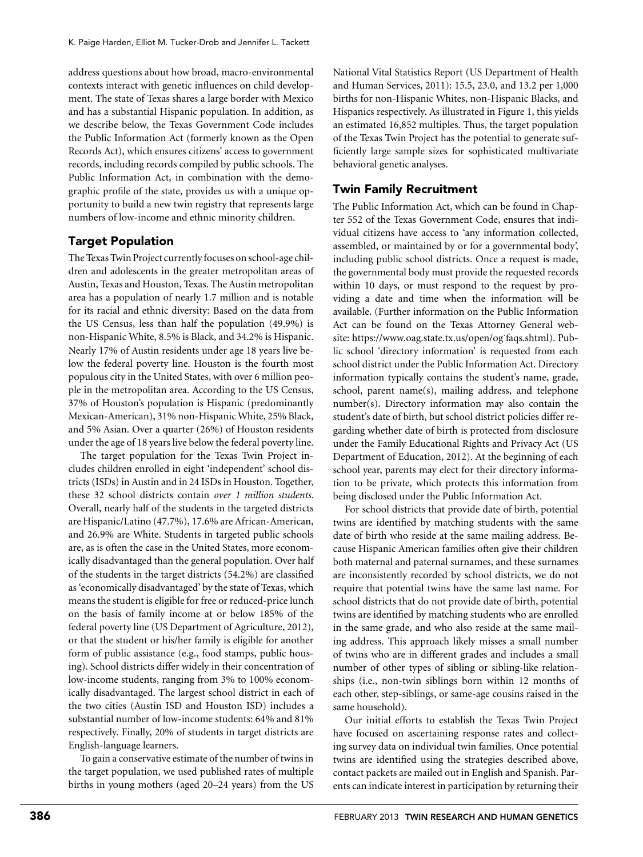address questions about how broad, macro-environmental contexts interact with genetic influences on child development. The state of Texas shares a large border with Mexico and has a substantial Hispanic population. In addition, as we describe below, the Texas Government Code includes the Public Information Act (formerly known as the Open Records Act), which ensures citizens' access to government records, including records compiled by public schools. The Public Information Act, in combination with the demographic profile of the state, provides us with a unique opportunity to build a new twin registry that represents large numbers of low-income and ethnic minority children.

# Target Population

The Texas Twin Project currentlyfocuses on school-age children and adolescents in the greater metropolitan areas of Austin, Texas and Houston, Texas. The Austin metropolitan area has a population of nearly 1.7 million and is notable for its racial and ethnic diversity: Based on the data from the US Census, less than half the population (49.9%) is non-Hispanic White, 8.5% is Black, and 34.2% is Hispanic. Nearly 17% of Austin residents under age 18 years live below the federal poverty line. Houston is the fourth most populous city in the United States, with over 6 million people in the metropolitan area. According to the US Census, 37% of Houston's population is Hispanic (predominantly Mexican-American), 31% non-Hispanic White, 25% Black, and 5% Asian. Over a quarter (26%) of Houston residents under the age of 18 years live below the federal poverty line.

The target population for the Texas Twin Project includes children enrolled in eight 'independent' school districts (ISDs) in Austin and in 24 ISDs in Houston. Together, these 32 school districts contain *over 1 million students*. Overall, nearly half of the students in the targeted districts are Hispanic/Latino (47.7%), 17.6% are African-American, and 26.9% are White. Students in targeted public schools are, as is often the case in the United States, more economically disadvantaged than the general population. Over half of the students in the target districts (54.2%) are classified as 'economically disadvantaged' by the state of Texas, which means the student is eligible for free or reduced-price lunch on the basis of family income at or below 185% of the federal poverty line (US Department of Agriculture, 2012), or that the student or his/her family is eligible for another form of public assistance (e.g., food stamps, public housing). School districts differ widely in their concentration of low-income students, ranging from 3% to 100% economically disadvantaged. The largest school district in each of the two cities (Austin ISD and Houston ISD) includes a substantial number of low-income students: 64% and 81% respectively. Finally, 20% of students in target districts are English-language learners.

To gain a conservative estimate of the number of twins in the target population, we used published rates of multiple births in young mothers (aged 20–24 years) from the US National Vital Statistics Report (US Department of Health and Human Services, 2011): 15.5, 23.0, and 13.2 per 1,000 births for non-Hispanic Whites, non-Hispanic Blacks, and Hispanics respectively. As illustrated in Figure 1, this yields an estimated 16,852 multiples. Thus, the target population of the Texas Twin Project has the potential to generate sufficiently large sample sizes for sophisticated multivariate behavioral genetic analyses.

# Twin Family Recruitment

The Public Information Act, which can be found in Chapter 552 of the Texas Government Code, ensures that individual citizens have access to 'any information collected, assembled, or maintained by or for a governmental body', including public school districts. Once a request is made, the governmental body must provide the requested records within 10 days, or must respond to the request by providing a date and time when the information will be available. (Further information on the Public Information Act can be found on the Texas Attorney General website: https://www.oag.state.tx.us/open/og˙faqs.shtml). Public school 'directory information' is requested from each school district under the Public Information Act. Directory information typically contains the student's name, grade, school, parent name(s), mailing address, and telephone number(s). Directory information may also contain the student's date of birth, but school district policies differ regarding whether date of birth is protected from disclosure under the Family Educational Rights and Privacy Act (US Department of Education, 2012). At the beginning of each school year, parents may elect for their directory information to be private, which protects this information from being disclosed under the Public Information Act.

For school districts that provide date of birth, potential twins are identified by matching students with the same date of birth who reside at the same mailing address. Because Hispanic American families often give their children both maternal and paternal surnames, and these surnames are inconsistently recorded by school districts, we do not require that potential twins have the same last name. For school districts that do not provide date of birth, potential twins are identified by matching students who are enrolled in the same grade, and who also reside at the same mailing address. This approach likely misses a small number of twins who are in different grades and includes a small number of other types of sibling or sibling-like relationships (i.e., non-twin siblings born within 12 months of each other, step-siblings, or same-age cousins raised in the same household).

Our initial efforts to establish the Texas Twin Project have focused on ascertaining response rates and collecting survey data on individual twin families. Once potential twins are identified using the strategies described above, contact packets are mailed out in English and Spanish. Parents can indicate interest in participation by returning their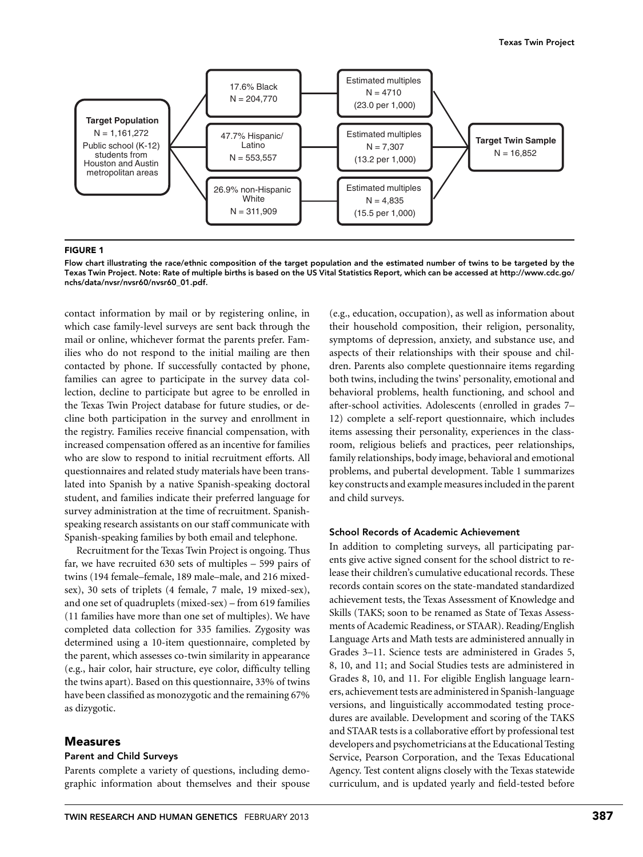

#### FIGURE 1

Flow chart illustrating the race/ethnic composition of the target population and the estimated number of twins to be targeted by the Texas Twin Project. Note: Rate of multiple births is based on the US Vital Statistics Report, which can be accessed at http://www.cdc.go/ nchs/data/nvsr/nvsr60/nvsr60\_01.pdf.

contact information by mail or by registering online, in which case family-level surveys are sent back through the mail or online, whichever format the parents prefer. Families who do not respond to the initial mailing are then contacted by phone. If successfully contacted by phone, families can agree to participate in the survey data collection, decline to participate but agree to be enrolled in the Texas Twin Project database for future studies, or decline both participation in the survey and enrollment in the registry. Families receive financial compensation, with increased compensation offered as an incentive for families who are slow to respond to initial recruitment efforts. All questionnaires and related study materials have been translated into Spanish by a native Spanish-speaking doctoral student, and families indicate their preferred language for survey administration at the time of recruitment. Spanishspeaking research assistants on our staff communicate with Spanish-speaking families by both email and telephone.

Recruitment for the Texas Twin Project is ongoing. Thus far, we have recruited 630 sets of multiples – 599 pairs of twins (194 female–female, 189 male–male, and 216 mixedsex), 30 sets of triplets (4 female, 7 male, 19 mixed-sex), and one set of quadruplets (mixed-sex) – from 619 families (11 families have more than one set of multiples). We have completed data collection for 335 families. Zygosity was determined using a 10-item questionnaire, completed by the parent, which assesses co-twin similarity in appearance (e.g., hair color, hair structure, eye color, difficulty telling the twins apart). Based on this questionnaire, 33% of twins have been classified as monozygotic and the remaining 67% as dizygotic.

#### Measures

#### Parent and Child Surveys

Parents complete a variety of questions, including demographic information about themselves and their spouse

TWIN RESEARCH AND HUMAN GENETICS FEBRUARY 2013

(e.g., education, occupation), as well as information about their household composition, their religion, personality, symptoms of depression, anxiety, and substance use, and aspects of their relationships with their spouse and children. Parents also complete questionnaire items regarding both twins, including the twins' personality, emotional and behavioral problems, health functioning, and school and after-school activities. Adolescents (enrolled in grades 7– 12) complete a self-report questionnaire, which includes items assessing their personality, experiences in the classroom, religious beliefs and practices, peer relationships, family relationships, body image, behavioral and emotional problems, and pubertal development. Table 1 summarizes key constructs and example measures included in the parent and child surveys.

#### School Records of Academic Achievement

In addition to completing surveys, all participating parents give active signed consent for the school district to release their children's cumulative educational records. These records contain scores on the state-mandated standardized achievement tests, the Texas Assessment of Knowledge and Skills (TAKS; soon to be renamed as State of Texas Assessments of Academic Readiness, or STAAR). Reading/English Language Arts and Math tests are administered annually in Grades 3–11. Science tests are administered in Grades 5, 8, 10, and 11; and Social Studies tests are administered in Grades 8, 10, and 11. For eligible English language learners, achievement tests are administered in Spanish-language versions, and linguistically accommodated testing procedures are available. Development and scoring of the TAKS and STAAR tests is a collaborative effort by professional test developers and psychometricians at the Educational Testing Service, Pearson Corporation, and the Texas Educational Agency. Test content aligns closely with the Texas statewide curriculum, and is updated yearly and field-tested before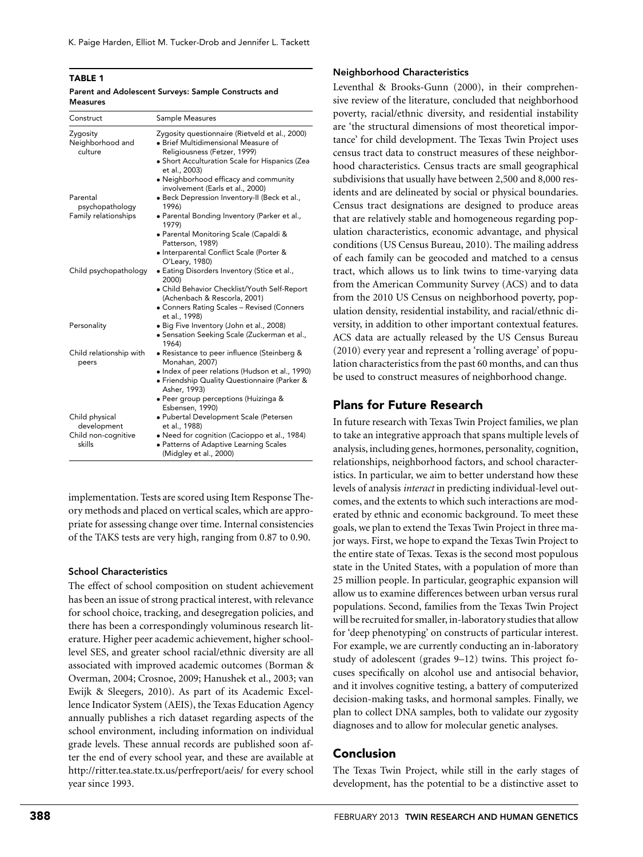#### TABLE 1

| Parent and Adolescent Surveys: Sample Constructs and |  |
|------------------------------------------------------|--|
| Measures                                             |  |

| Construct                                                      | Sample Measures                                                                                                                                                                                                                                                       |
|----------------------------------------------------------------|-----------------------------------------------------------------------------------------------------------------------------------------------------------------------------------------------------------------------------------------------------------------------|
| Zygosity<br>Neighborhood and<br>culture                        | Zygosity questionnaire (Rietveld et al., 2000)<br>• Brief Multidimensional Measure of<br>Religiousness (Fetzer, 1999)<br>· Short Acculturation Scale for Hispanics (Zea<br>et al., 2003)<br>· Neighborhood efficacy and community<br>involvement (Earls et al., 2000) |
| Parental<br>psychopathology<br>Family relationships            | · Beck Depression Inventory-II (Beck et al.,<br>1996)<br>· Parental Bonding Inventory (Parker et al.,<br>1979)                                                                                                                                                        |
|                                                                | • Parental Monitoring Scale (Capaldi &<br>Patterson, 1989)<br>· Interparental Conflict Scale (Porter &<br>O'Leary, 1980)                                                                                                                                              |
| Child psychopathology                                          | • Eating Disorders Inventory (Stice et al.,<br>2000)<br>· Child Behavior Checklist/Youth Self-Report<br>(Achenbach & Rescorla, 2001)<br>• Conners Rating Scales - Revised (Conners<br>et al., 1998)                                                                   |
| Personality                                                    | • Big Five Inventory (John et al., 2008)<br>· Sensation Seeking Scale (Zuckerman et al.,<br>1964)                                                                                                                                                                     |
| Child relationship with<br>peers                               | • Resistance to peer influence (Steinberg &<br>Monahan, 2007)<br>· Index of peer relations (Hudson et al., 1990)<br>· Friendship Quality Questionnaire (Parker &<br>Asher, 1993)<br>· Peer group perceptions (Huizinga &                                              |
| Child physical<br>development<br>Child non-cognitive<br>skills | Esbensen, 1990)<br>· Pubertal Development Scale (Petersen<br>et al., 1988)<br>· Need for cognition (Cacioppo et al., 1984)<br>· Patterns of Adaptive Learning Scales<br>(Midgley et al., 2000)                                                                        |

implementation. Tests are scored using Item Response Theory methods and placed on vertical scales, which are appropriate for assessing change over time. Internal consistencies of the TAKS tests are very high, ranging from 0.87 to 0.90.

### School Characteristics

The effect of school composition on student achievement has been an issue of strong practical interest, with relevance for school choice, tracking, and desegregation policies, and there has been a correspondingly voluminous research literature. Higher peer academic achievement, higher schoollevel SES, and greater school racial/ethnic diversity are all associated with improved academic outcomes (Borman & Overman, 2004; Crosnoe, 2009; Hanushek et al., 2003; van Ewijk & Sleegers, 2010). As part of its Academic Excellence Indicator System (AEIS), the Texas Education Agency annually publishes a rich dataset regarding aspects of the school environment, including information on individual grade levels. These annual records are published soon after the end of every school year, and these are available at http://ritter.tea.state.tx.us/perfreport/aeis/ for every school year since 1993.

### Neighborhood Characteristics

Leventhal & Brooks-Gunn (2000), in their comprehensive review of the literature, concluded that neighborhood poverty, racial/ethnic diversity, and residential instability are 'the structural dimensions of most theoretical importance' for child development. The Texas Twin Project uses census tract data to construct measures of these neighborhood characteristics. Census tracts are small geographical subdivisions that usually have between 2,500 and 8,000 residents and are delineated by social or physical boundaries. Census tract designations are designed to produce areas that are relatively stable and homogeneous regarding population characteristics, economic advantage, and physical conditions (US Census Bureau, 2010). The mailing address of each family can be geocoded and matched to a census tract, which allows us to link twins to time-varying data from the American Community Survey (ACS) and to data from the 2010 US Census on neighborhood poverty, population density, residential instability, and racial/ethnic diversity, in addition to other important contextual features. ACS data are actually released by the US Census Bureau (2010) every year and represent a 'rolling average' of population characteristics from the past 60 months, and can thus be used to construct measures of neighborhood change.

# Plans for Future Research

In future research with Texas Twin Project families, we plan to take an integrative approach that spans multiple levels of analysis, including genes, hormones, personality, cognition, relationships, neighborhood factors, and school characteristics. In particular, we aim to better understand how these levels of analysis *interact* in predicting individual-level outcomes, and the extents to which such interactions are moderated by ethnic and economic background. To meet these goals, we plan to extend the Texas Twin Project in three major ways. First, we hope to expand the Texas Twin Project to the entire state of Texas. Texas is the second most populous state in the United States, with a population of more than 25 million people. In particular, geographic expansion will allow us to examine differences between urban versus rural populations. Second, families from the Texas Twin Project will be recruited for smaller, in-laboratory studies that allow for 'deep phenotyping' on constructs of particular interest. For example, we are currently conducting an in-laboratory study of adolescent (grades 9–12) twins. This project focuses specifically on alcohol use and antisocial behavior, and it involves cognitive testing, a battery of computerized decision-making tasks, and hormonal samples. Finally, we plan to collect DNA samples, both to validate our zygosity diagnoses and to allow for molecular genetic analyses.

### Conclusion

The Texas Twin Project, while still in the early stages of development, has the potential to be a distinctive asset to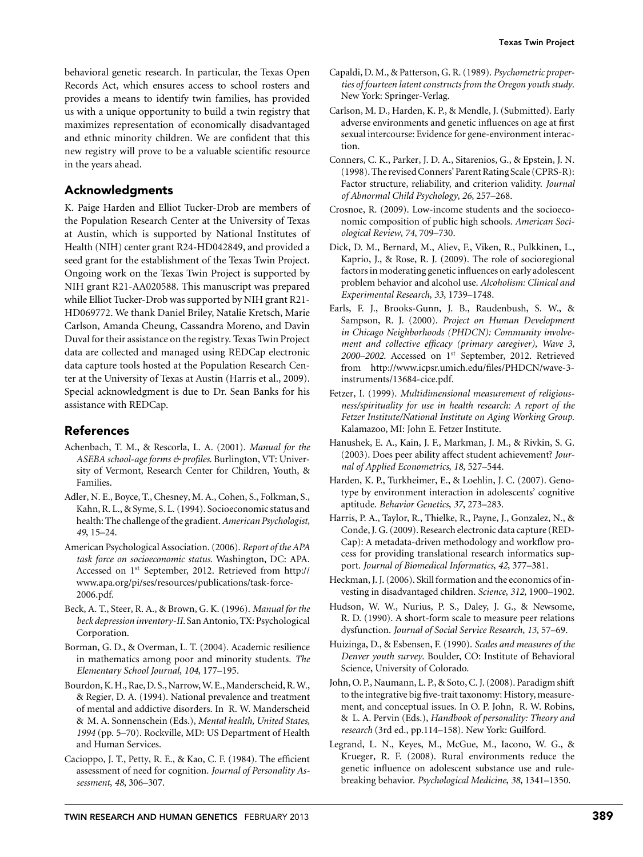behavioral genetic research. In particular, the Texas Open Records Act, which ensures access to school rosters and provides a means to identify twin families, has provided us with a unique opportunity to build a twin registry that maximizes representation of economically disadvantaged and ethnic minority children. We are confident that this new registry will prove to be a valuable scientific resource in the years ahead.

# Acknowledgments

K. Paige Harden and Elliot Tucker-Drob are members of the Population Research Center at the University of Texas at Austin, which is supported by National Institutes of Health (NIH) center grant R24-HD042849, and provided a seed grant for the establishment of the Texas Twin Project. Ongoing work on the Texas Twin Project is supported by NIH grant R21-AA020588. This manuscript was prepared while Elliot Tucker-Drob was supported by NIH grant R21- HD069772. We thank Daniel Briley, Natalie Kretsch, Marie Carlson, Amanda Cheung, Cassandra Moreno, and Davin Duval for their assistance on the registry. Texas Twin Project data are collected and managed using REDCap electronic data capture tools hosted at the Population Research Center at the University of Texas at Austin (Harris et al., 2009). Special acknowledgment is due to Dr. Sean Banks for his assistance with REDCap.

# References

- Achenbach, T. M., & Rescorla, L. A. (2001). *Manual for the ASEBA school-age forms & profiles*. Burlington, VT: University of Vermont, Research Center for Children, Youth, & Families.
- Adler, N. E., Boyce, T., Chesney, M. A., Cohen, S., Folkman, S., Kahn, R. L., & Syme, S. L. (1994). Socioeconomic status and health: The challenge of the gradient.*American Psychologist*, *49*, 15–24.
- American Psychological Association. (2006). *Report of the APA task force on socioeconomic status*. Washington, DC: APA. Accessed on 1st September, 2012. Retrieved from http:// www.apa.org/pi/ses/resources/publications/task-force-2006.pdf.
- Beck, A. T., Steer, R. A., & Brown, G. K. (1996). *Manual for the beck depression inventory-II*. San Antonio, TX: Psychological Corporation.
- Borman, G. D., & Overman, L. T. (2004). Academic resilience in mathematics among poor and minority students. *The Elementary School Journal*, *104*, 177–195.
- Bourdon, K. H., Rae, D. S., Narrow, W. E., Manderscheid, R. W., & Regier, D. A. (1994). National prevalence and treatment of mental and addictive disorders. In R. W. Manderscheid & M. A. Sonnenschein (Eds.), *Mental health, United States, 1994* (pp. 5–70). Rockville, MD: US Department of Health and Human Services.
- Cacioppo, J. T., Petty, R. E., & Kao, C. F. (1984). The efficient assessment of need for cognition. *Journal of Personality Assessment*, *48*, 306–307.
- Capaldi, D. M., & Patterson, G. R. (1989). *Psychometric properties of fourteen latent constructs from the Oregon youth study*. New York: Springer-Verlag.
- Carlson, M. D., Harden, K. P., & Mendle, J. (Submitted). Early adverse environments and genetic influences on age at first sexual intercourse: Evidence for gene-environment interaction.
- Conners, C. K., Parker, J. D. A., Sitarenios, G., & Epstein, J. N. (1998). The revised Conners' Parent Rating Scale (CPRS-R): Factor structure, reliability, and criterion validity. *Journal of Abnormal Child Psychology*, *26*, 257–268.
- Crosnoe, R. (2009). Low-income students and the socioeconomic composition of public high schools. *American Sociological Review*, *74*, 709–730.
- Dick, D. M., Bernard, M., Aliev, F., Viken, R., Pulkkinen, L., Kaprio, J., & Rose, R. J. (2009). The role of socioregional factors in moderating genetic influences on early adolescent problem behavior and alcohol use. *Alcoholism: Clinical and Experimental Research*, *33*, 1739–1748.
- Earls, F. J., Brooks-Gunn, J. B., Raudenbush, S. W., & Sampson, R. J. (2000). *Project on Human Development in Chicago Neighborhoods (PHDCN): Community involvement and collective efficacy (primary caregiver), Wave 3, 2000–2002*. Accessed on 1st September, 2012. Retrieved from http://www.icpsr.umich.edu/files/PHDCN/wave-3 instruments/13684-cice.pdf.
- Fetzer, I. (1999). *Multidimensional measurement of religiousness/spirituality for use in health research: A report of the Fetzer Institute/National Institute on Aging Working Group*. Kalamazoo, MI: John E. Fetzer Institute.
- Hanushek, E. A., Kain, J. F., Markman, J. M., & Rivkin, S. G. (2003). Does peer ability affect student achievement? *Journal of Applied Econometrics*, *18*, 527–544.
- Harden, K. P., Turkheimer, E., & Loehlin, J. C. (2007). Genotype by environment interaction in adolescents' cognitive aptitude. *Behavior Genetics*, *37*, 273–283.
- Harris, P. A., Taylor, R., Thielke, R., Payne, J., Gonzalez, N., & Conde, J. G. (2009). Research electronic data capture (RED-Cap): A metadata-driven methodology and workflow process for providing translational research informatics support. *Journal of Biomedical Informatics*, *42*, 377–381.
- Heckman, J. J. (2006). Skill formation and the economics of investing in disadvantaged children. *Science*, *312*, 1900–1902.
- Hudson, W. W., Nurius, P. S., Daley, J. G., & Newsome, R. D. (1990). A short-form scale to measure peer relations dysfunction. *Journal of Social Service Research*, *13*, 57–69.
- Huizinga, D., & Esbensen, F. (1990). *Scales and measures of the Denver youth survey*. Boulder, CO: Institute of Behavioral Science, University of Colorado.
- John, O. P., Naumann, L. P., & Soto, C. J. (2008). Paradigm shift to the integrative big five-trait taxonomy: History, measurement, and conceptual issues. In O. P. John, R. W. Robins, & L. A. Pervin (Eds.), *Handbook of personality: Theory and research* (3rd ed., pp.114–158). New York: Guilford.
- Legrand, L. N., Keyes, M., McGue, M., Iacono, W. G., & Krueger, R. F. (2008). Rural environments reduce the genetic influence on adolescent substance use and rulebreaking behavior. *Psychological Medicine*, *38*, 1341–1350.